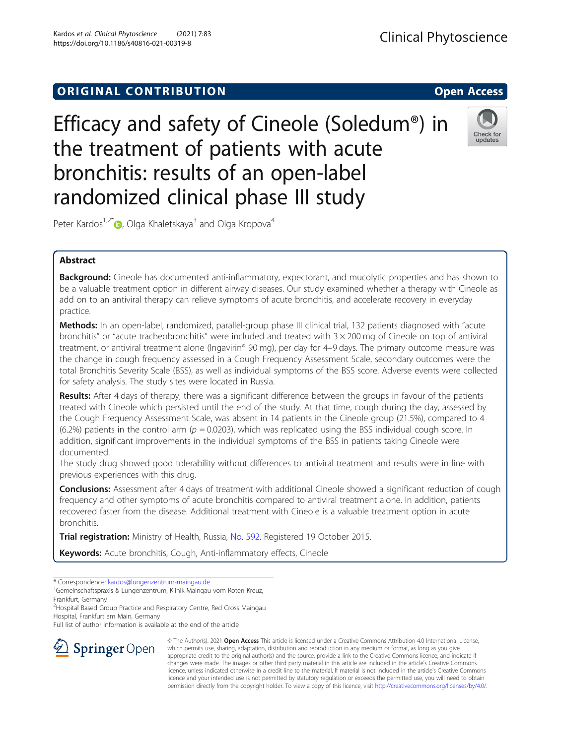# **ORIGINAL CONTRIBUTION CONTRIBUTION CONTRIBUTION**

Efficacy and safety of Cineole (Soledum®) in the treatment of patients with acute bronchitis: results of an open-label randomized clinical phase III study



Peter Kardos<sup>1[,](http://orcid.org/0000-0002-4725-4820)2\*</sup> $\bullet$ , Olga Khaletskaya<sup>3</sup> and Olga Kropova<sup>4</sup>

## Abstract

Background: Cineole has documented anti-inflammatory, expectorant, and mucolytic properties and has shown to be a valuable treatment option in different airway diseases. Our study examined whether a therapy with Cineole as add on to an antiviral therapy can relieve symptoms of acute bronchitis, and accelerate recovery in everyday practice.

Methods: In an open-label, randomized, parallel-group phase III clinical trial, 132 patients diagnosed with "acute bronchitis" or "acute tracheobronchitis" were included and treated with 3 × 200 mg of Cineole on top of antiviral treatment, or antiviral treatment alone (Ingavirin® 90 mg), per day for 4–9 days. The primary outcome measure was the change in cough frequency assessed in a Cough Frequency Assessment Scale, secondary outcomes were the total Bronchitis Severity Scale (BSS), as well as individual symptoms of the BSS score. Adverse events were collected for safety analysis. The study sites were located in Russia.

Results: After 4 days of therapy, there was a significant difference between the groups in favour of the patients treated with Cineole which persisted until the end of the study. At that time, cough during the day, assessed by the Cough Frequency Assessment Scale, was absent in 14 patients in the Cineole group (21.5%), compared to 4 (6.2%) patients in the control arm ( $p = 0.0203$ ), which was replicated using the BSS individual cough score. In addition, significant improvements in the individual symptoms of the BSS in patients taking Cineole were documented.

The study drug showed good tolerability without differences to antiviral treatment and results were in line with previous experiences with this drug.

**Conclusions:** Assessment after 4 days of treatment with additional Cineole showed a significant reduction of cough frequency and other symptoms of acute bronchitis compared to antiviral treatment alone. In addition, patients recovered faster from the disease. Additional treatment with Cineole is a valuable treatment option in acute bronchitis.

Trial registration: Ministry of Health, Russia, [No. 592.](https://grls.rosminzdrav.ru/Default.aspx1/15/RKI) Registered 19 October 2015.

Keywords: Acute bronchitis, Cough, Anti-inflammatory effects, Cineole

<sup>2</sup> Hospital Based Group Practice and Respiratory Centre, Red Cross Maingau Hospital, Frankfurt am Main, Germany

Full list of author information is available at the end of the article



© The Author(s). 2021 Open Access This article is licensed under a Creative Commons Attribution 4.0 International License, which permits use, sharing, adaptation, distribution and reproduction in any medium or format, as long as you give appropriate credit to the original author(s) and the source, provide a link to the Creative Commons licence, and indicate if changes were made. The images or other third party material in this article are included in the article's Creative Commons licence, unless indicated otherwise in a credit line to the material. If material is not included in the article's Creative Commons licence and your intended use is not permitted by statutory regulation or exceeds the permitted use, you will need to obtain permission directly from the copyright holder. To view a copy of this licence, visit <http://creativecommons.org/licenses/by/4.0/>.

<sup>\*</sup> Correspondence: [kardos@lungenzentrum-maingau.de](mailto:kardos@lungenzentrum-maingau.de) <sup>1</sup>

<sup>&</sup>lt;sup>1</sup>Gemeinschaftspraxis & Lungenzentrum, Klinik Maingau vom Roten Kreuz, Frankfurt, Germany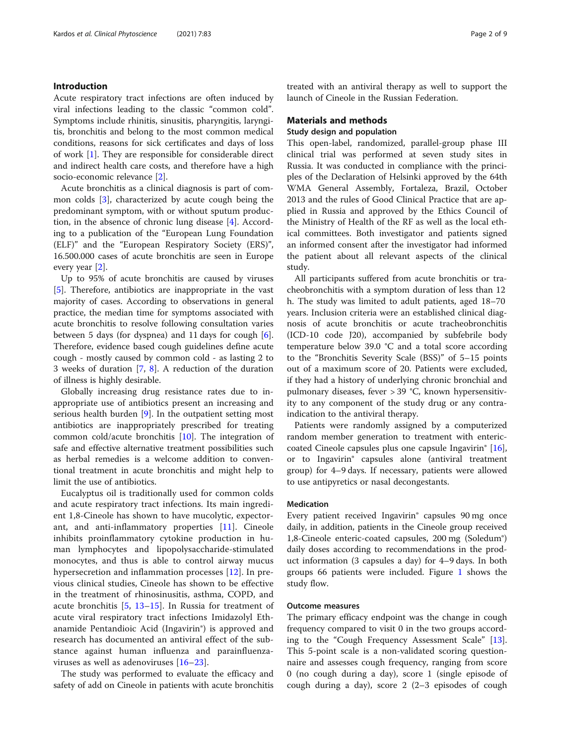## Introduction

Acute respiratory tract infections are often induced by viral infections leading to the classic "common cold". Symptoms include rhinitis, sinusitis, pharyngitis, laryngitis, bronchitis and belong to the most common medical conditions, reasons for sick certificates and days of loss of work [\[1\]](#page-7-0). They are responsible for considerable direct and indirect health care costs, and therefore have a high socio-economic relevance [[2\]](#page-7-0).

Acute bronchitis as a clinical diagnosis is part of common colds [\[3](#page-7-0)], characterized by acute cough being the predominant symptom, with or without sputum production, in the absence of chronic lung disease [[4](#page-7-0)]. According to a publication of the "European Lung Foundation (ELF)" and the "European Respiratory Society (ERS)", 16.500.000 cases of acute bronchitis are seen in Europe every year [[2\]](#page-7-0).

Up to 95% of acute bronchitis are caused by viruses [[5\]](#page-7-0). Therefore, antibiotics are inappropriate in the vast majority of cases. According to observations in general practice, the median time for symptoms associated with acute bronchitis to resolve following consultation varies between 5 days (for dyspnea) and 11 days for cough [\[6](#page-7-0)]. Therefore, evidence based cough guidelines define acute cough - mostly caused by common cold - as lasting 2 to 3 weeks of duration [[7,](#page-7-0) [8\]](#page-7-0). A reduction of the duration of illness is highly desirable.

Globally increasing drug resistance rates due to inappropriate use of antibiotics present an increasing and serious health burden [[9\]](#page-7-0). In the outpatient setting most antibiotics are inappropriately prescribed for treating common cold/acute bronchitis [\[10](#page-7-0)]. The integration of safe and effective alternative treatment possibilities such as herbal remedies is a welcome addition to conventional treatment in acute bronchitis and might help to limit the use of antibiotics.

Eucalyptus oil is traditionally used for common colds and acute respiratory tract infections. Its main ingredient 1,8-Cineole has shown to have mucolytic, expectorant, and anti-inflammatory properties [\[11](#page-7-0)]. Cineole inhibits proinflammatory cytokine production in human lymphocytes and lipopolysaccharide-stimulated monocytes, and thus is able to control airway mucus hypersecretion and inflammation processes [\[12](#page-7-0)]. In previous clinical studies, Cineole has shown to be effective in the treatment of rhinosinusitis, asthma, COPD, and acute bronchitis [[5](#page-7-0), [13](#page-7-0)–[15](#page-8-0)]. In Russia for treatment of acute viral respiratory tract infections Imidazolyl Ethanamide Pentandioic Acid (Ingavirin®) is approved and research has documented an antiviral effect of the substance against human influenza and parainfluenzaviruses as well as adenoviruses [\[16](#page-8-0)–[23](#page-8-0)].

The study was performed to evaluate the efficacy and safety of add on Cineole in patients with acute bronchitis treated with an antiviral therapy as well to support the launch of Cineole in the Russian Federation.

## Materials and methods

## Study design and population

This open-label, randomized, parallel-group phase III clinical trial was performed at seven study sites in Russia. It was conducted in compliance with the principles of the Declaration of Helsinki approved by the 64th WMA General Assembly, Fortaleza, Brazil, October 2013 and the rules of Good Clinical Practice that are applied in Russia and approved by the Ethics Council of the Ministry of Health of the RF as well as the local ethical committees. Both investigator and patients signed an informed consent after the investigator had informed the patient about all relevant aspects of the clinical study.

All participants suffered from acute bronchitis or tracheobronchitis with a symptom duration of less than 12 h. The study was limited to adult patients, aged 18–70 years. Inclusion criteria were an established clinical diagnosis of acute bronchitis or acute tracheobronchitis (ICD-10 code J20), accompanied by subfebrile body temperature below 39.0 °С and a total score according to the "Bronchitis Severity Scale (BSS)" of 5–15 points out of a maximum score of 20. Patients were excluded, if they had a history of underlying chronic bronchial and pulmonary diseases, fever > 39 °С, known hypersensitivity to any component of the study drug or any contraindication to the antiviral therapy.

Patients were randomly assigned by a computerized random member generation to treatment with entericcoated Cineole capsules plus one capsule Ingavirin® [\[16](#page-8-0)], or to Ingavirin® capsules alone (antiviral treatment group) for 4–9 days. If necessary, patients were allowed to use antipyretics or nasal decongestants.

## Medication

Every patient received Ingavirin® capsules 90 mg once daily, in addition, patients in the Cineole group received 1,8-Cineole enteric-coated capsules, 200 mg (Soledum®) daily doses according to recommendations in the product information (3 capsules a day) for 4–9 days. In both groups 66 patients were included. Figure [1](#page-2-0) shows the study flow.

#### Outcome measures

The primary efficacy endpoint was the change in cough frequency compared to visit 0 in the two groups according to the "Cough Frequency Assessment Scale" [\[13](#page-7-0)]. This 5-point scale is a non-validated scoring questionnaire and assesses cough frequency, ranging from score 0 (no cough during a day), score 1 (single episode of cough during a day), score 2 (2–3 episodes of cough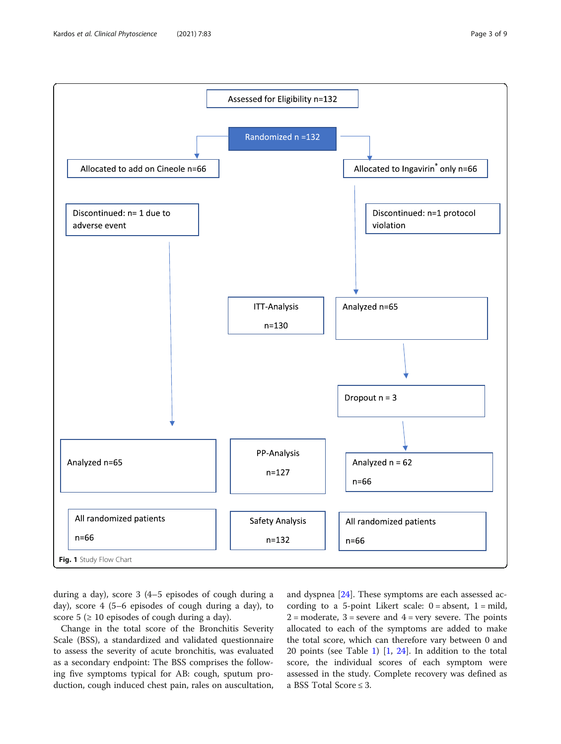<span id="page-2-0"></span>

during a day), score 3 (4–5 episodes of cough during a day), score 4 (5–6 episodes of cough during a day), to score 5 ( $\geq$  10 episodes of cough during a day).

Change in the total score of the Bronchitis Severity Scale (BSS), a standardized and validated questionnaire to assess the severity of acute bronchitis, was evaluated as a secondary endpoint: The BSS comprises the following five symptoms typical for AB: cough, sputum production, cough induced chest pain, rales on auscultation,

and dyspnea [[24\]](#page-8-0). These symptoms are each assessed according to a 5-point Likert scale:  $0 = absent$ ,  $1 = mild$ ,  $2 =$  moderate,  $3 =$  severe and  $4 =$  very severe. The points allocated to each of the symptoms are added to make the total score, which can therefore vary between 0 and 20 points (see Table [1\)](#page-3-0) [\[1,](#page-7-0) [24](#page-8-0)]. In addition to the total score, the individual scores of each symptom were assessed in the study. Complete recovery was defined as a BSS Total Score ≤ 3.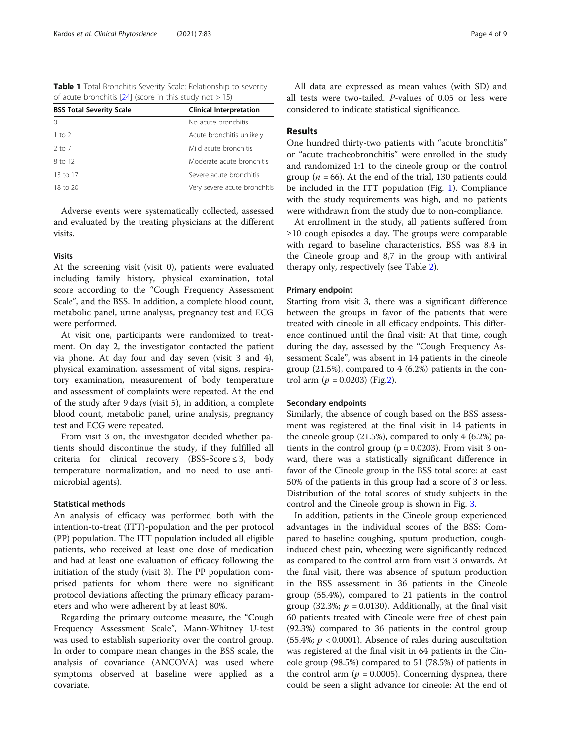<span id="page-3-0"></span>

| <b>Table 1</b> Total Bronchitis Severity Scale: Relationship to severity |  |
|--------------------------------------------------------------------------|--|
| of acute bronchitis [24] (score in this study not $> 15$ )               |  |

| <b>BSS Total Severity Scale</b> | <b>Clinical Interpretation</b> |  |
|---------------------------------|--------------------------------|--|
| $\Omega$                        | No acute bronchitis            |  |
| 1 to $2$                        | Acute bronchitis unlikely      |  |
| $2$ to $7$                      | Mild acute bronchitis          |  |
| 8 to 12                         | Moderate acute bronchitis      |  |
| 13 to 17                        | Severe acute bronchitis        |  |
| 18 to 20                        | Very severe acute bronchitis   |  |

Adverse events were systematically collected, assessed and evaluated by the treating physicians at the different visits.

## Visits

At the screening visit (visit 0), patients were evaluated including family history, physical examination, total score according to the "Cough Frequency Assessment Scale", and the BSS. In addition, a complete blood count, metabolic panel, urine analysis, pregnancy test and ECG were performed.

At visit one, participants were randomized to treatment. On day 2, the investigator contacted the patient via phone. At day four and day seven (visit 3 and 4), physical examination, assessment of vital signs, respiratory examination, measurement of body temperature and assessment of complaints were repeated. At the end of the study after 9 days (visit 5), in addition, a complete blood count, metabolic panel, urine analysis, pregnancy test and ECG were repeated.

From visit 3 on, the investigator decided whether patients should discontinue the study, if they fulfilled all criteria for clinical recovery (BSS-Score  $\leq$  3, body temperature normalization, and no need to use antimicrobial agents).

## Statistical methods

An analysis of efficacy was performed both with the intention-to-treat (ITT)-population and the per protocol (PP) population. The ITT population included all eligible patients, who received at least one dose of medication and had at least one evaluation of efficacy following the initiation of the study (visit 3). The PP population comprised patients for whom there were no significant protocol deviations affecting the primary efficacy parameters and who were adherent by at least 80%.

Regarding the primary outcome measure, the "Cough Frequency Assessment Scale", Mann-Whitney U-test was used to establish superiority over the control group. In order to compare mean changes in the BSS scale, the analysis of covariance (ANCOVA) was used where symptoms observed at baseline were applied as a covariate.

All data are expressed as mean values (with SD) and all tests were two-tailed. P-values of 0.05 or less were considered to indicate statistical significance.

## Results

One hundred thirty-two patients with "acute bronchitis" or "acute tracheobronchitis" were enrolled in the study and randomized 1:1 to the cineole group or the control group ( $n = 66$ ). At the end of the trial, 130 patients could be included in the ITT population (Fig. [1](#page-2-0)). Compliance with the study requirements was high, and no patients were withdrawn from the study due to non-compliance.

At enrollment in the study, all patients suffered from ≥10 cough episodes a day. The groups were comparable with regard to baseline characteristics, BSS was 8,4 in the Cineole group and 8,7 in the group with antiviral therapy only, respectively (see Table [2\)](#page-4-0).

#### Primary endpoint

Starting from visit 3, there was a significant difference between the groups in favor of the patients that were treated with cineole in all efficacy endpoints. This difference continued until the final visit: At that time, cough during the day, assessed by the "Cough Frequency Assessment Scale", was absent in 14 patients in the cineole group (21.5%), compared to 4 (6.2%) patients in the control arm ( $p = 0.0203$ ) (Fig.[2\)](#page-4-0).

#### Secondary endpoints

Similarly, the absence of cough based on the BSS assessment was registered at the final visit in 14 patients in the cineole group (21.5%), compared to only 4 (6.2%) patients in the control group ( $p = 0.0203$ ). From visit 3 onward, there was a statistically significant difference in favor of the Cineole group in the BSS total score: at least 50% of the patients in this group had a score of 3 or less. Distribution of the total scores of study subjects in the control and the Cineole group is shown in Fig. [3.](#page-5-0)

In addition, patients in the Cineole group experienced advantages in the individual scores of the BSS: Compared to baseline coughing, sputum production, coughinduced chest pain, wheezing were significantly reduced as compared to the control arm from visit 3 onwards. At the final visit, there was absence of sputum production in the BSS assessment in 36 patients in the Cineole group (55.4%), compared to 21 patients in the control group (32.3%;  $p = 0.0130$ ). Additionally, at the final visit 60 patients treated with Cineole were free of chest pain (92.3%) compared to 36 patients in the control group (55.4%;  $p < 0.0001$ ). Absence of rales during auscultation was registered at the final visit in 64 patients in the Cineole group (98.5%) compared to 51 (78.5%) of patients in the control arm ( $p = 0.0005$ ). Concerning dyspnea, there could be seen a slight advance for cineole: At the end of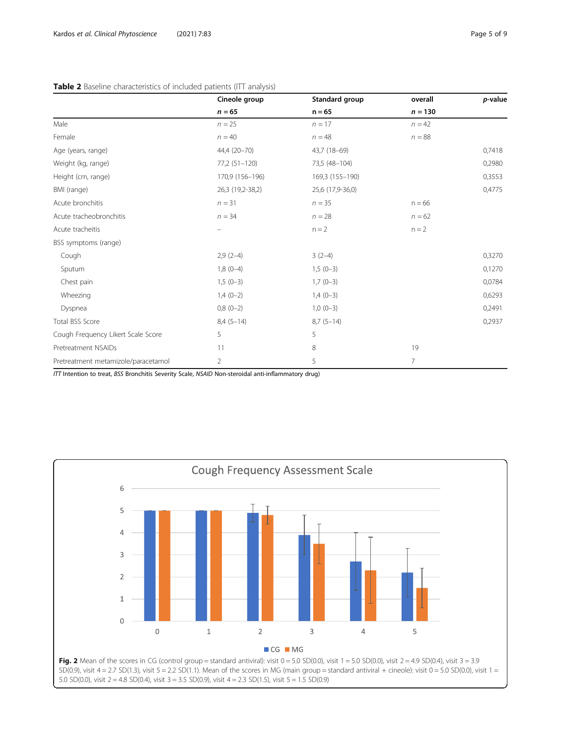## <span id="page-4-0"></span>Table 2 Baseline characteristics of included patients (ITT analysis)

|                                     | Cineole group<br>$n = 65$ | Standard group<br>$n = 65$ | overall<br>$n = 130$ | p-value |
|-------------------------------------|---------------------------|----------------------------|----------------------|---------|
|                                     |                           |                            |                      |         |
| Male                                | $n = 25$                  | $n = 17$                   | $n = 42$             |         |
| Female                              | $n = 40$                  | $n = 48$                   | $n = 88$             |         |
| Age (years, range)                  | 44,4 (20-70)              | 43,7 (18-69)               |                      | 0,7418  |
| Weight (kg, range)                  | 77,2 (51-120)             | 73,5 (48-104)              |                      | 0,2980  |
| Height (cm, range)                  | 170,9 (156-196)           | 169,3 (155-190)            |                      | 0,3553  |
| BMI (range)                         | 26,3 (19,2-38,2)          | 25,6 (17,9-36,0)           |                      | 0,4775  |
| Acute bronchitis                    | $n = 31$                  | $n = 35$                   | $n = 66$             |         |
| Acute tracheobronchitis             | $n = 34$                  | $n = 28$                   | $n = 62$             |         |
| Acute tracheitis                    |                           | $n = 2$                    | $n = 2$              |         |
| BSS symptoms (range)                |                           |                            |                      |         |
| Cough                               | $2,9(2-4)$                | $3(2-4)$                   |                      | 0,3270  |
| Sputum                              | $1,8(0-4)$                | $1,5(0-3)$                 |                      | 0,1270  |
| Chest pain                          | $1,5(0-3)$                | $1,7(0-3)$                 |                      | 0,0784  |
| Wheezing                            | $1,4(0-2)$                | $1,4(0-3)$                 |                      | 0,6293  |
| Dyspnea                             | $0,8(0-2)$                | $1,0(0-3)$                 |                      | 0,2491  |
| Total BSS Score                     | $8,4(5-14)$               | $8,7(5-14)$                |                      | 0,2937  |
| Cough Frequency Likert Scale Score  | 5                         | 5                          |                      |         |
| Pretreatment NSAIDs                 | 11                        | 8                          | 19                   |         |
| Pretreatment metamizole/paracetamol | $\overline{2}$            | 5                          | $\overline{7}$       |         |

ITT Intention to treat, BSS Bronchitis Severity Scale, NSAID Non-steroidal anti-inflammatory drug)

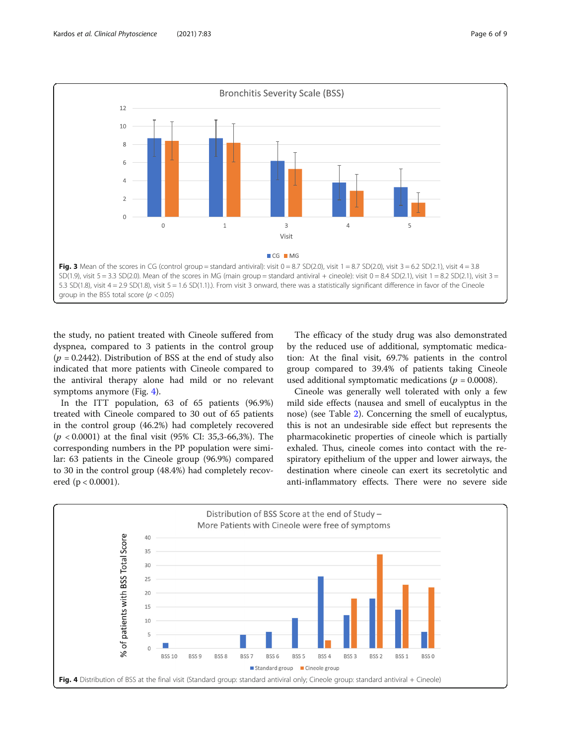<span id="page-5-0"></span>

the study, no patient treated with Cineole suffered from dyspnea, compared to 3 patients in the control group  $(p = 0.2442)$ . Distribution of BSS at the end of study also indicated that more patients with Cineole compared to the antiviral therapy alone had mild or no relevant symptoms anymore (Fig. 4).

In the ITT population, 63 of 65 patients (96.9%) treated with Cineole compared to 30 out of 65 patients in the control group (46.2%) had completely recovered  $(p < 0.0001)$  at the final visit (95% CI: 35,3-66,3%). The corresponding numbers in the PP population were similar: 63 patients in the Cineole group (96.9%) compared to 30 in the control group (48.4%) had completely recovered (p < 0.0001).

The efficacy of the study drug was also demonstrated by the reduced use of additional, symptomatic medication: At the final visit, 69.7% patients in the control group compared to 39.4% of patients taking Cineole used additional symptomatic medications ( $p = 0.0008$ ).

Cineole was generally well tolerated with only a few mild side effects (nausea and smell of eucalyptus in the nose) (see Table [2\)](#page-4-0). Concerning the smell of eucalyptus, this is not an undesirable side effect but represents the pharmacokinetic properties of cineole which is partially exhaled. Thus, cineole comes into contact with the respiratory epithelium of the upper and lower airways, the destination where cineole can exert its secretolytic and anti-inflammatory effects. There were no severe side

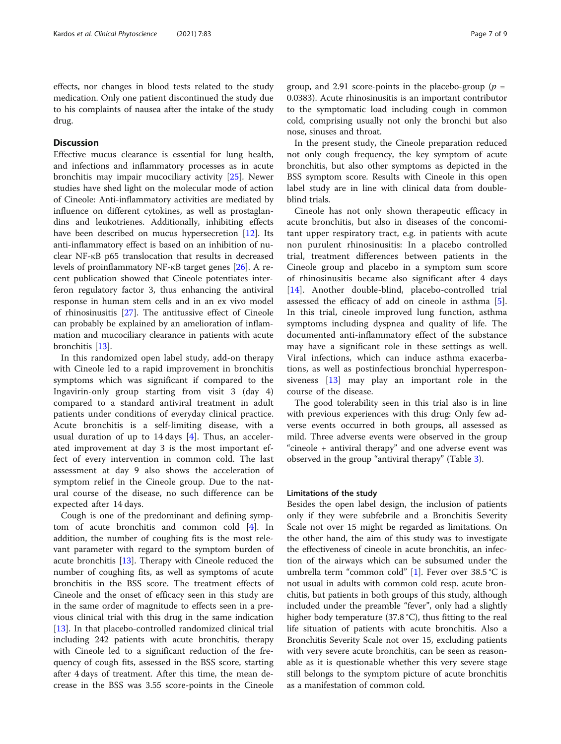effects, nor changes in blood tests related to the study medication. Only one patient discontinued the study due to his complaints of nausea after the intake of the study drug.

## **Discussion**

Effective mucus clearance is essential for lung health, and infections and inflammatory processes as in acute bronchitis may impair mucociliary activity [\[25\]](#page-8-0). Newer studies have shed light on the molecular mode of action of Cineole: Anti-inflammatory activities are mediated by influence on different cytokines, as well as prostaglandins and leukotrienes. Additionally, inhibiting effects have been described on mucus hypersecretion [[12\]](#page-7-0). Its anti-inflammatory effect is based on an inhibition of nuclear NF-κB p65 translocation that results in decreased levels of proinflammatory NF-κB target genes [[26](#page-8-0)]. A recent publication showed that Cineole potentiates interferon regulatory factor 3, thus enhancing the antiviral response in human stem cells and in an ex vivo model of rhinosinusitis [\[27\]](#page-8-0). The antitussive effect of Cineole can probably be explained by an amelioration of inflammation and mucociliary clearance in patients with acute bronchitis [[13\]](#page-7-0).

In this randomized open label study, add-on therapy with Cineole led to a rapid improvement in bronchitis symptoms which was significant if compared to the Ingavirin-only group starting from visit 3 (day 4) compared to a standard antiviral treatment in adult patients under conditions of everyday clinical practice. Acute bronchitis is a self-limiting disease, with a usual duration of up to  $14$  days [[4\]](#page-7-0). Thus, an accelerated improvement at day 3 is the most important effect of every intervention in common cold. The last assessment at day 9 also shows the acceleration of symptom relief in the Cineole group. Due to the natural course of the disease, no such difference can be expected after 14 days.

Cough is one of the predominant and defining symptom of acute bronchitis and common cold [[4\]](#page-7-0). In addition, the number of coughing fits is the most relevant parameter with regard to the symptom burden of acute bronchitis [[13](#page-7-0)]. Therapy with Cineole reduced the number of coughing fits, as well as symptoms of acute bronchitis in the BSS score. The treatment effects of Cineole and the onset of efficacy seen in this study are in the same order of magnitude to effects seen in a previous clinical trial with this drug in the same indication [[13\]](#page-7-0). In that placebo-controlled randomized clinical trial including 242 patients with acute bronchitis, therapy with Cineole led to a significant reduction of the frequency of cough fits, assessed in the BSS score, starting after 4 days of treatment. After this time, the mean decrease in the BSS was 3.55 score-points in the Cineole

group, and 2.91 score-points in the placebo-group ( $p =$ 0.0383). Acute rhinosinusitis is an important contributor to the symptomatic load including cough in common cold, comprising usually not only the bronchi but also nose, sinuses and throat.

In the present study, the Cineole preparation reduced not only cough frequency, the key symptom of acute bronchitis, but also other symptoms as depicted in the BSS symptom score. Results with Cineole in this open label study are in line with clinical data from doubleblind trials.

Cineole has not only shown therapeutic efficacy in acute bronchitis, but also in diseases of the concomitant upper respiratory tract, e.g. in patients with acute non purulent rhinosinusitis: In a placebo controlled trial, treatment differences between patients in the Cineole group and placebo in a symptom sum score of rhinosinusitis became also significant after 4 days [[14\]](#page-7-0). Another double-blind, placebo-controlled trial assessed the efficacy of add on cineole in asthma [\[5](#page-7-0)]. In this trial, cineole improved lung function, asthma symptoms including dyspnea and quality of life. The documented anti-inflammatory effect of the substance may have a significant role in these settings as well. Viral infections, which can induce asthma exacerbations, as well as postinfectious bronchial hyperresponsiveness [[13\]](#page-7-0) may play an important role in the course of the disease.

The good tolerability seen in this trial also is in line with previous experiences with this drug: Only few adverse events occurred in both groups, all assessed as mild. Three adverse events were observed in the group "cineole + antiviral therapy" and one adverse event was observed in the group "antiviral therapy" (Table [3](#page-7-0)).

#### Limitations of the study

Besides the open label design, the inclusion of patients only if they were subfebrile and a Bronchitis Severity Scale not over 15 might be regarded as limitations. On the other hand, the aim of this study was to investigate the effectiveness of cineole in acute bronchitis, an infection of the airways which can be subsumed under the umbrella term "common cold" [\[1](#page-7-0)]. Fever over 38.5 °C is not usual in adults with common cold resp. acute bronchitis, but patients in both groups of this study, although included under the preamble "fever", only had a slightly higher body temperature (37.8 °C), thus fitting to the real life situation of patients with acute bronchitis. Also a Bronchitis Severity Scale not over 15, excluding patients with very severe acute bronchitis, can be seen as reasonable as it is questionable whether this very severe stage still belongs to the symptom picture of acute bronchitis as a manifestation of common cold.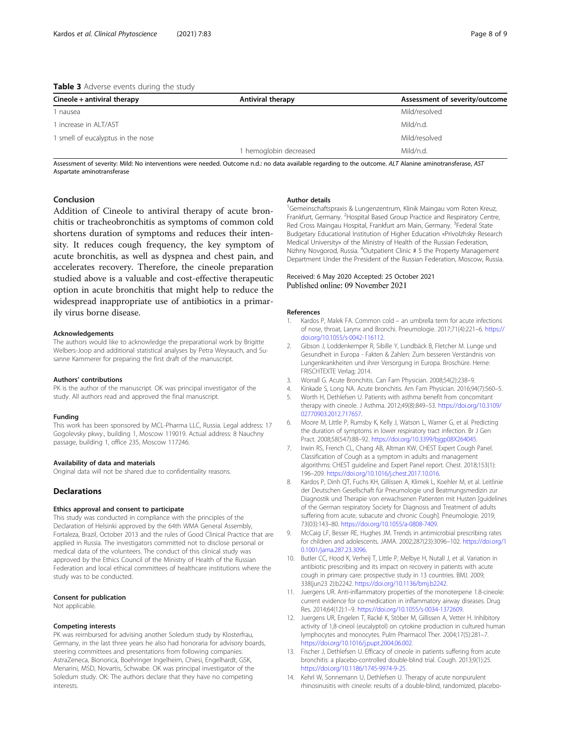### <span id="page-7-0"></span>Table 3 Adverse events during the study

| Cineole + antiviral therapy       | Antiviral therapy    | Assessment of severity/outcome |
|-----------------------------------|----------------------|--------------------------------|
| 1 nausea                          |                      | Mild/resolved                  |
| 1 increase in ALT/AST             |                      | Mild/n.d.                      |
| 1 smell of eucalyptus in the nose |                      | Mild/resolved                  |
|                                   | hemoglobin decreased | Mild/n.d.                      |

Assessment of severity: Mild: No interventions were needed. Outcome n.d.: no data available regarding to the outcome. ALT Alanine aminotransferase, AST Aspartate aminotransferase

## Conclusion

Addition of Cineole to antiviral therapy of acute bronchitis or tracheobronchitis as symptoms of common cold shortens duration of symptoms and reduces their intensity. It reduces cough frequency, the key symptom of acute bronchitis, as well as dyspnea and chest pain, and accelerates recovery. Therefore, the cineole preparation studied above is a valuable and cost-effective therapeutic option in acute bronchitis that might help to reduce the widespread inappropriate use of antibiotics in a primarily virus borne disease.

#### Acknowledgements

The authors would like to acknowledge the preparational work by Brigitte Welbers-Joop and additional statistical analyses by Petra Weyrauch, and Susanne Kammerer for preparing the first draft of the manuscript.

#### Authors' contributions

PK is the author of the manuscript. OK was principal investigator of the study. All authors read and approved the final manuscript.

#### Funding

This work has been sponsored by MCL-Pharma LLC, Russia. Legal address: 17 Gogolevsky pkwy., building 1, Moscow 119019. Actual address: 8 Nauchny passage, building 1, office 235, Moscow 117246.

#### Availability of data and materials

Original data will not be shared due to confidentiality reasons.

#### **Declarations**

#### Ethics approval and consent to participate

This study was conducted in compliance with the principles of the Declaration of Helsinki approved by the 64th WMA General Assembly, Fortaleza, Brazil, October 2013 and the rules of Good Clinical Practice that are applied in Russia. The investigators committed not to disclose personal or medical data of the volunteers. The conduct of this clinical study was approved by the Ethics Council of the Ministry of Health of the Russian Federation and local ethical committees of healthcare institutions where the study was to be conducted.

#### Consent for publication

Not applicable.

#### Competing interests

PK was reimbursed for advising another Soledum study by Klosterfrau, Germany, in the last three years he also had honoraria for advisory boards, steering committees and presentations from following companies: AstraZeneca, Bionorica, Boehringer Ingelheim, Chiesi, Engelhardt, GSK, Menarini, MSD, Novartis, Schwabe. OK was principal investigator of the Soledum study. OK: The authors declare that they have no competing interests.

#### Author details

1 Gemeinschaftspraxis & Lungenzentrum, Klinik Maingau vom Roten Kreuz, Frankfurt, Germany. <sup>2</sup> Hospital Based Group Practice and Respiratory Centre, Red Cross Maingau Hospital, Frankfurt am Main, Germany. <sup>3</sup>Federal State Budgetary Educational Institution of Higher Education «Privolzhsky Research Medical University» of the Ministry of Health of the Russian Federation, Nizhny Novgorod, Russia. <sup>4</sup>Outpatient Clinic # 5 the Property Management Dераrtmеnt Undеr the Pгesident of the Russian Fеdеrаtiоn, Moscow, Russia.

#### Received: 6 May 2020 Accepted: 25 October 2021 Published online: 09 November 2021

#### References

- 1. Kardos P, Malek FA. Common cold an umbrella term for acute infections of nose, throat, Larynx and Bronchi. Pneumologie. 2017;71(4):221–6. [https://](https://doi.org/10.1055/s-0042-116112) [doi.org/10.1055/s-0042-116112](https://doi.org/10.1055/s-0042-116112).
- 2. Gibson J, Loddenkemper R, Sibille Y, Lundbäck B, Fletcher M. Lunge und Gesundheit in Europa - Fakten & Zahlen: Zum besseren Verständnis von Lungenkrankheiten und ihrer Versorgung in Europa. Broschüre. Herne: FRISCHTEXTE Verlag; 2014.
- 3. Worrall G. Acute Bronchitis. Can Fam Physician. 2008;54(2):238–9.
- 4. Kinkade S, Long NA. Acute bronchitis. Am Fam Physician. 2016;94(7):560–5.
- 5. Worth H, Dethlefsen U. Patients with asthma benefit from concomitant therapy with cineole. J Asthma. 2012;49(8):849–53. [https://doi.org/10.3109/](https://doi.org/10.3109/02770903.2012.717657) [02770903.2012.717657.](https://doi.org/10.3109/02770903.2012.717657)
- 6. Moore M, Little P, Rumsby K, Kelly J, Watson L, Warner G, et al. Predicting the duration of symptoms in lower respiratory tract infection. Br J Gen Pract. 2008;58(547):88–92. [https://doi.org/10.3399/bjgp08X264045.](https://doi.org/10.3399/bjgp08X264045)
- 7. Irwin RS, French CL, Chang AB, Altman KW, CHEST Expert Cough Panel. Classification of Cough as a symptom in adults and management algorithms: CHEST guideline and Expert Panel report. Chest. 2018;153(1): 196–209. <https://doi.org/10.1016/j.chest.2017.10.016>.
- 8. Kardos P, Dinh QT, Fuchs KH, Gillissen A, Klimek L, Koehler M, et al. Leitlinie der Deutschen Gesellschaft für Pneumologie und Beatmungsmedizin zur Diagnostik und Therapie von erwachsenen Patienten mit Husten [guidelines of the German respiratory Society for Diagnosis and Treatment of adults suffering from acute, subacute and chronic Cough]. Pneumologie. 2019; 73(03):143–80. <https://doi.org/10.1055/a-0808-7409>.
- 9. McCaig LF, Besser RE, Hughes JM. Trends in antimicrobial prescribing rates for children and adolescents. JAMA. 2002;287(23):3096–102. [https://doi.org/1](https://doi.org/10.1001/jama.287.23.3096) [0.1001/jama.287.23.3096](https://doi.org/10.1001/jama.287.23.3096).
- 10. Butler CC, Hood K, Verheij T, Little P, Melbye H, Nutall J, et al. Variation in antibiotic prescribing and its impact on recovery in patients with acute cough in primary care: prospective study in 13 countries. BMJ. 2009; 338(jun23 2):b2242. <https://doi.org/10.1136/bmj.b2242>.
- 11. Juergens UR. Anti-inflammatory properties of the monoterpene 1.8-cineole: current evidence for co-medication in inflammatory airway diseases. Drug Res. 2014;64(12):1–9. <https://doi.org/10.1055/s-0034-1372609>.
- 12. Juergens UR, Engelen T, Racké K, Stöber M, Gillissen A, Vetter H. Inhibitory activity of 1,8-cineol (eucalyptol) on cytokine production in cultured human lymphocytes and monocytes. Pulm Pharmacol Ther. 2004;17(5):281–7. <https://doi.org/10.1016/j.pupt.2004.06.002>.
- 13. Fischer J, Dethlefsen U. Efficacy of cineole in patients suffering from acute bronchitis: a placebo-controlled double-blind trial. Cough. 2013;9(1):25. [https://doi.org/10.1186/1745-9974-9-25.](https://doi.org/10.1186/1745-9974-9-25)
- 14. Kehrl W, Sonnemann U, Dethlefsen U. Therapy of acute nonpurulent rhinosinusitis with cineole: results of a double-blind, randomized, placebo-